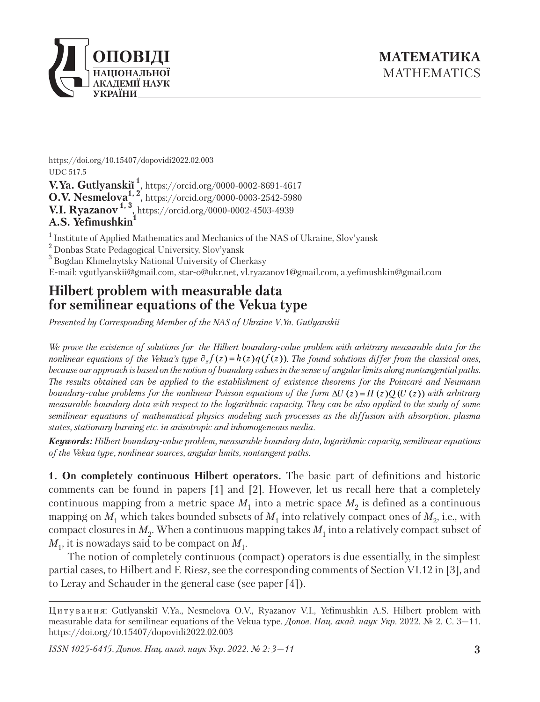

https://doi.org/10.15407/dopovidi2022.02.003 UDC 517.5 **V.Ya. Gutlyanskiĭ <sup>1</sup>**, https://orcid.org/0000-0002-8691-4617 **O.V. Nesmelova**<sup>1, 2</sup>, https://orcid.org/0000-0003-2542-5980 **V.I. Ryazanov 1, 3**, https://orcid.org/0000-0002-4503-4939 **A.S. Yefimushkin1**

<sup>1</sup> Institute of Applied Mathematics and Mechanics of the NAS of Ukraine, Slov'yansk

2 Donbas State Pedagogical University, Slov'yansk

<sup>3</sup> Bogdan Khmelnytsky National University of Cherkasy

E-mail: vgutlyanskii@gmail.com, star-o@ukr.net, vl.ryazanov1@gmail.com, a.yefimushkin@gmail.com

## **Hilbert problem with measurable data for semilinear equations of the Vekua type**

*Presented by Corresponding Member of the NAS of Ukraine V.Ya. Gutlyanskiĭ*

We prove the existence of solutions for the Hilbert boundary-value problem with arbitrary measurable data for the *nonlinear equations of the Vekua's type*  $\partial_{\overline{z}} f(z) = h(z)q(f(z))$ . The found solutions differ from the classical ones, *because our approach is based on the notion of boundary values in the sense of angular limits along nontangential paths. The results obtained can be applied to the establishment of existence theorems for the Poincaré and Neumann boundary-value problems for the nonlinear Poisson equations of the form*  $\Delta U(z) = H(z)Q(U(z))$  *with arbitrary measurable boundary data with respect to the logarithmic capacity. They can be also applied to the study of some semilinear equations of mathematical physics modeling such processes as the diffusion with absorption, plasma states, stationary burning etc. in anisotropic and inhomogeneous media.* 

*Keywords: Hilbert boundary-value problem, measurable boundary data, logarithmic capacity, semilinear equations of the Vekua type, nonlinear sources, angular limits, nontangent paths.*

**1. On completely continuous Hilbert operators.** The basic part of definitions and historic comments can be found in papers [1] and [2]. However, let us recall here that a completely continuous mapping from a metric space  $M_1$  into a metric space  $M_2$  is defined as a continuous mapping on  $M_1$  which takes bounded subsets of  $M_1$  into relatively compact ones of  $M_2$ , i.e., with compact closures in  $M_2$ . When a continuous mapping takes  $M_1$  into a relatively compact subset of  $M_1$ , it is nowadays said to be compact on  $M_1$ .

The notion of completely continuous (compact) operators is due essentially, in the simplest partial cases, to Hilbert and F. Riesz, see the corresponding comments of Section VI.12 in [3], and to Leray and Schauder in the general case (see paper [4]).

*ISSN 1025-6415. Допов. Нац. акад. наук Укр. 2022. № 2: 3—11*

Ц и т у в а н н я: Gutlyanskiĭ V.Ya., Nesmelova O.V., Ryazanov V.I., Yefimushkin A.S. Hilbert problem with measurable data for semilinear equations of the Vekua type. *Допов. Нац. акад. наук Укр*. 2022. № 2. С. 3—11. https://doi.org/10.15407/dopovidi2022.02.003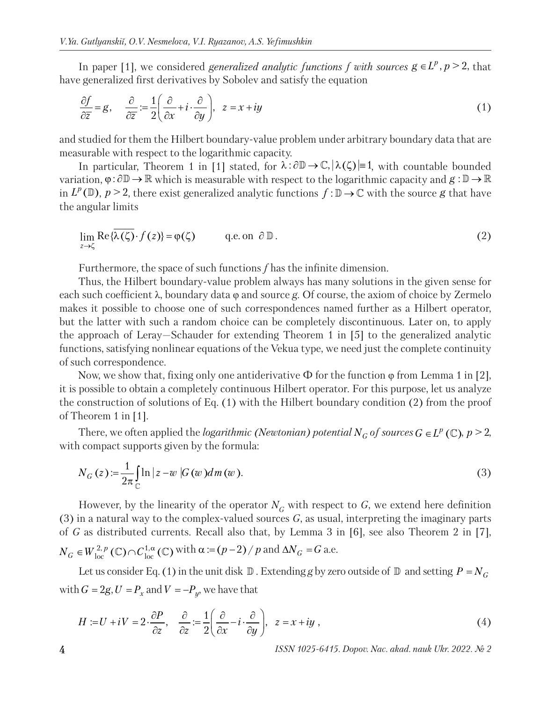In paper [1], we considered *generalized analytic functions f with sources*  $g \in L^p$ ,  $p \geq 2$ , that have generalized first derivatives by Sobolev and satisfy the equation

$$
\frac{\partial f}{\partial \overline{z}} = g, \quad \frac{\partial}{\partial \overline{z}} := \frac{1}{2} \left( \frac{\partial}{\partial x} + i \cdot \frac{\partial}{\partial y} \right), \quad z = x + iy \tag{1}
$$

and studied for them the Hilbert boundary-value problem under arbitrary boundary data that are measurable with respect to the logarithmic capacity.

In particular, Theorem 1 in [1] stated, for  $\lambda : \partial \mathbb{D} \to \mathbb{C}, |\lambda(\zeta)| = 1$ , with countable bounded variation,  $\varphi : \partial \mathbb{D} \to \mathbb{R}$  which is measurable with respect to the logarithmic capacity and  $g : \mathbb{D} \to \mathbb{R}$ in  $L^p(\mathbb{D})$ ,  $p > 2$ , there exist generalized analytic functions  $f : \mathbb{D} \to \mathbb{C}$  with the source *g* that have the angular limits

$$
\lim_{z \to \zeta} \text{Re}\{\overline{\lambda(\zeta)} \cdot f(z)\} = \varphi(\zeta) \qquad \text{q.e. on } \partial \mathbb{D}. \tag{2}
$$

Furthermore, the space of such functions *f* has the infinite dimension.

Thus, the Hilbert boundary-value problem always has many solutions in the given sense for each such coefficient λ, boundary data φ and source *g*. Of course, the axiom of choice by Zermelo makes it possible to choose one of such correspondences named further as a Hilbert operator, but the latter with such a random choice can be completely discontinuous. Later on, to apply the approach of Leray—Schauder for extending Theorem 1 in [5] to the generalized analytic functions, satisfying nonlinear equations of the Vekua type, we need just the complete continuity of such correspondence.

Now, we show that, fixing only one antiderivative  $\Phi$  for the function  $\varphi$  from Lemma 1 in [2], it is possible to obtain a completely continuous Hilbert operator. For this purpose, let us analyze the construction of solutions of Eq. (1) with the Hilbert boundary condition (2) from the proof of Theorem 1 in [1].

There, we often applied the *logarithmic (Newtonian) potential*  $N_G$  of sources  $G \in L^p(\mathbb{C})$ ,  $p > 2$ , with compact supports given by the formula:

$$
N_G(z) := \frac{1}{2\pi} \int_{\mathbb{C}} \ln|z - w| G(w) dm(w).
$$
\n(3)

However, by the linearity of the operator  $N_c$  with respect to G, we extend here definition (3) in a natural way to the complex-valued sources *G*, as usual, interpreting the imaginary parts of *G* as distributed currents. Recall also that, by Lemma 3 in [6], see also Theorem 2 in [7],  $N_G \in W^{2,p}_{loc}(\mathbb{C}) \cap C^{1,\alpha}_{loc}(\mathbb{C})$  with  $\alpha := (p-2)/p$  and  $\Delta N_G = G$  a.e.

Let us consider Eq. (1) in the unit disk  $\mathbb D$ . Extending *g* by zero outside of  $\mathbb D$  and setting  $P = N_G$ with  $G = 2g, U = P_x$  and  $V = -P_y$ , we have that

$$
H := U + iV = 2 \cdot \frac{\partial P}{\partial z}, \quad \frac{\partial}{\partial z} := \frac{1}{2} \left( \frac{\partial}{\partial x} - i \cdot \frac{\partial}{\partial y} \right), \quad z = x + iy \tag{4}
$$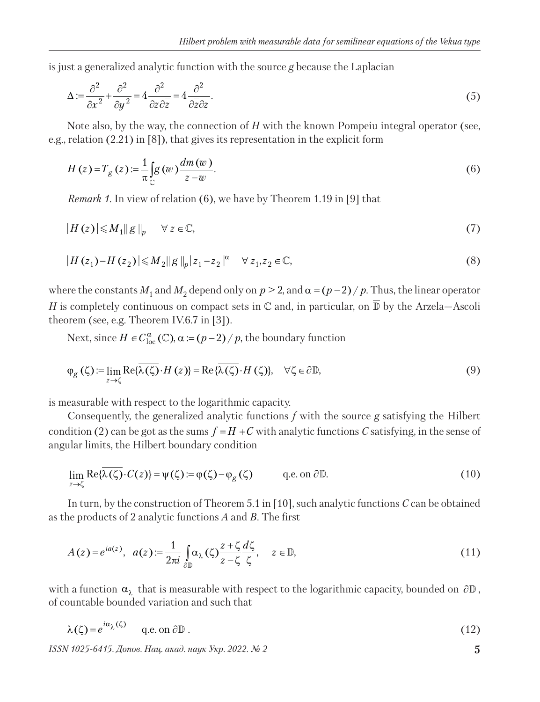is just a generalized analytic function with the source *g* because the Laplacian

$$
\Delta := \frac{\partial^2}{\partial x^2} + \frac{\partial^2}{\partial y^2} = 4 \frac{\partial^2}{\partial z \partial \overline{z}} = 4 \frac{\partial^2}{\partial \overline{z} \partial z}.
$$
\n(5)

Note also, by the way, the connection of *H* with the known Pompeiu integral operator (see, e.g., relation (2.21) in [8]), that gives its representation in the explicit form

$$
H(z) = T_g(z) := \frac{1}{\pi} \int_C g(w) \frac{dm(w)}{z - w}.
$$
\n
$$
(6)
$$

*Remark 1.* In view of relation (6), we have by Theorem 1.19 in [9] that

$$
|H(z)| \leq M_1 \|g\|_p \quad \forall z \in \mathbb{C},\tag{7}
$$

$$
|H(z_1) - H(z_2)| \le M_2 ||g||_p |z_1 - z_2|^\alpha \quad \forall z_1, z_2 \in \mathbb{C},
$$
\n(8)

where the constants  $M_1$  and  $M_2$  depend only on  $p > 2$ , and  $\alpha = (p-2)/p$ . Thus, the linear operator *H* is completely continuous on compact sets in  $\mathbb C$  and, in particular, on  $\overline{\mathbb D}$  by the Arzela–Ascoli theorem (see, e.g. Theorem IV.6.7 in [3]).

Next, since  $H \in C^{\alpha}_{loc}(\mathbb{C})$ ,  $\alpha := (p-2)/p$ , the boundary function

$$
\varphi_{g}(\zeta) := \lim_{z \to \zeta} \text{Re}\{\overline{\lambda(\zeta)} \cdot H(z)\} = \text{Re}\{\overline{\lambda(\zeta)} \cdot H(\zeta)\}, \quad \forall \zeta \in \partial \mathbb{D},
$$
\n(9)

is measurable with respect to the logarithmic capacity.

Consequently, the generalized analytic functions *f* with the source *g* satisfying the Hilbert condition (2) can be got as the sums  $f = H + C$  with analytic functions *C* satisfying, in the sense of angular limits, the Hilbert boundary condition

$$
\lim_{z \to \zeta} \text{Re}\{\overline{\lambda(\zeta)} \cdot C(z)\} = \psi(\zeta) := \varphi(\zeta) - \varphi_g(\zeta) \qquad \text{q.e. on } \partial \mathbb{D}. \tag{10}
$$

In turn, by the construction of Theorem 5.1 in [10], such analytic functions *C* can be obtained as the products of 2 analytic functions *A* and *B*. The first

$$
A(z) = e^{iaz}, \quad a(z) := \frac{1}{2\pi i} \int_{\partial \mathbb{D}} \alpha_{\lambda}(\zeta) \frac{z + \zeta}{z - \zeta} \frac{d\zeta}{\zeta}, \quad z \in \mathbb{D}, \tag{11}
$$

with a function  $\alpha_{\lambda}$  that is measurable with respect to the logarithmic capacity, bounded on  $\partial \mathbb{D}$ , of countable bounded variation and such that

$$
\lambda(\zeta) = e^{i\alpha_{\lambda}(\zeta)} \qquad \text{q.e. on } \partial \mathbb{D} \,. \tag{12}
$$

*ISSN 1025-6415. Допов. Нац. акад. наук Укр. 2022. № 2* **5**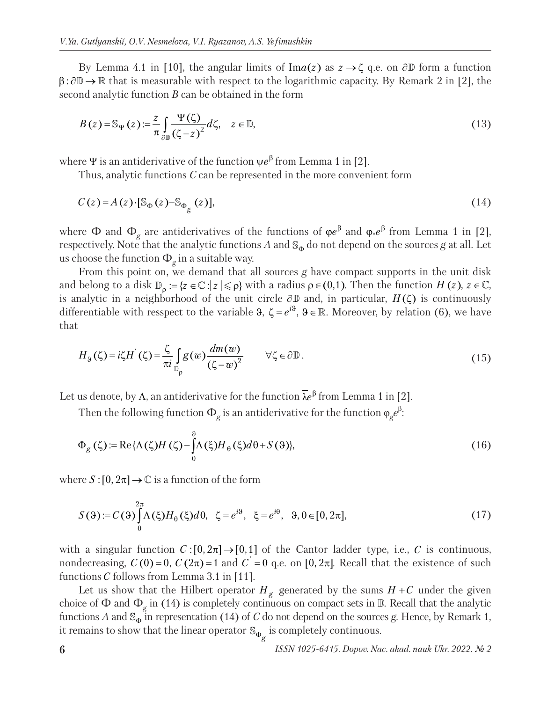By Lemma 4.1 in [10], the angular limits of Im $a(z)$  as  $z \to \zeta$  q.e. on  $\partial \mathbb{D}$  form a function  $\beta$ :  $\partial \mathbb{D} \to \mathbb{R}$  that is measurable with respect to the logarithmic capacity. By Remark 2 in [2], the second analytic function *B* can be obtained in the form

$$
B(z) = \mathbb{S}_{\Psi}(z) := \frac{z}{\pi} \int_{\partial \mathbb{D}} \frac{\Psi(\zeta)}{(\zeta - z)^2} d\zeta, \quad z \in \mathbb{D}, \tag{13}
$$

where  $\Psi$  is an antiderivative of the function  $\psi e^{\beta}$  from Lemma 1 in [2].

Thus, analytic functions *C* can be represented in the more convenient form

$$
C(z) = A(z) \cdot [S_{\Phi}(z) - S_{\Phi_g}(z)], \qquad (14)
$$

where  $\Phi$  and  $\Phi_{\rho}$  are antiderivatives of the functions of  $\phi e^{\beta}$  and  $\phi_{*}e^{\beta}$  from Lemma 1 in [2], respectively. Note that the analytic functions A and  $\mathcal{S}_{\Phi}$  do not depend on the sources g at all. Let us choose the function  $\Phi_g$  in a suitable way.

From this point on, we demand that all sources *g* have compact supports in the unit disk and belong to a disk  $\mathbb{D}_{0} := \{ z \in \mathbb{C} : |z| \leq \rho \}$  with a radius  $\rho \in (0,1)$ . Then the function *H* (*z*),  $z \in \mathbb{C}$ , is analytic in a neighborhood of the unit circle  $\partial \mathbb{D}$  and, in particular,  $H(\zeta)$  is continuously differentiable with resspect to the variable 9,  $\zeta = e^{i\theta}$ ,  $\theta \in \mathbb{R}$ . Moreover, by relation (6), we have that

$$
H_9(\zeta) = i\zeta H^{'}(\zeta) = \frac{\zeta}{\pi i} \int_{\mathbb{D}_\rho} g(w) \frac{dm(w)}{(\zeta - w)^2} \qquad \forall \zeta \in \partial \mathbb{D} \,.
$$
 (15)

Let us denote, by  $\Lambda$ , an antiderivative for the function  $\bar{\lambda}e^{\beta}$  from Lemma 1 in [2].

Then the following function  $\Phi_g$  is an antiderivative for the function  $\phi_g e^{\beta}$ :

$$
\Phi_{g}(\zeta) := \text{Re}\{\Lambda(\zeta)H(\zeta) - \int_{0}^{9} \Lambda(\xi)H_{\theta}(\xi)d\theta + S(\theta)\},\tag{16}
$$

where  $S: [0, 2\pi] \to \mathbb{C}$  is a function of the form

$$
S(\Theta) := C(\Theta) \int_{0}^{2\pi} \Lambda(\xi) H_{\Theta}(\xi) d\theta, \quad \zeta = e^{i\Theta}, \quad \xi = e^{i\Theta}, \quad \Theta, \theta \in [0, 2\pi], \tag{17}
$$

with a singular function  $C: [0, 2\pi] \to [0,1]$  of the Cantor ladder type, i.e., C is continuous, nondecreasing,  $C(0) = 0$ ,  $C(2\pi) = 1$  and  $C = 0$  q.e. on [0, 2 $\pi$ ]. Recall that the existence of such functions *C* follows from Lemma 3.1 in [11].

Let us show that the Hilbert operator  $H_g$  generated by the sums  $H + C$  under the given choice of  $\Phi$  and  $\Phi_g$  in (14) is completely continuous on compact sets in  $\mathbb D$ . Recall that the analytic functions *A* and  $\mathbb{S}_{\varphi}$  in representation (14) of *C* do not depend on the sources *g*. Hence, by Remark 1, it remains to show that the linear operator  $\mathbb{S}_{\Phi_{\mathcal{G}}^{}}$  is completely continuous.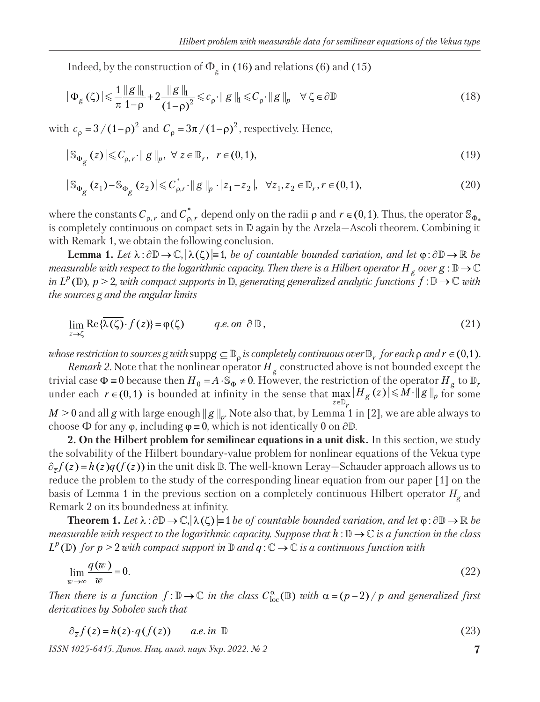Indeed, by the construction of  $\Phi_{g}$  in (16) and relations (6) and (15)

$$
|\Phi_{g}(\zeta)| \leq \frac{1}{\pi} \frac{\|g\|_{1}}{1-\rho} + 2 \frac{\|g\|_{1}}{(1-\rho)^{2}} \leq c_{\rho} \cdot \|g\|_{1} \leq C_{\rho} \cdot \|g\|_{p} \quad \forall \ \zeta \in \partial \mathbb{D}
$$
\n(18)

with  $c_{\rho} = 3 / (1 - \rho)^2$  and  $C_{\rho} = 3\pi / (1 - \rho)^2$ , respectively. Hence,

$$
|\mathbb{S}_{\Phi_{g}}(z)| \leqslant C_{\rho,r} \cdot ||g||_{p}, \ \forall \ z \in \mathbb{D}_{r}, \ \ r \in (0,1), \tag{19}
$$

$$
|\mathbb{S}_{\Phi_{g}}(z_{1})-\mathbb{S}_{\Phi_{g}}(z_{2})|\leq C_{\rho,r}^{*}\cdot||g||_{p}\cdot|z_{1}-z_{2}|, \quad \forall z_{1},z_{2}\in\mathbb{D}_{r}, r\in(0,1),
$$
\n(20)

where the constants  $C_{\rho,r}$  and  $C_{\rho,r}^*$  depend only on the radii  $\rho$  and  $r \in (0,1)$ . Thus, the operator  $\mathbb{S}_{\Phi_*}$ is completely continuous on compact sets in  $\mathbb D$  again by the Arzela—Ascoli theorem. Combining it with Remark 1, we obtain the following conclusion.

**Lemma 1.** Let  $\lambda : \partial \mathbb{D} \to \mathbb{C}, |\lambda(\zeta)| = 1$ , be of countable bounded variation, and let  $\varphi : \partial \mathbb{D} \to \mathbb{R}$  be *measurable with respect to the logarithmic capacity. Then there is a Hilbert operator*  $H_g$  over  $g : \mathbb{D} \to \mathbb{C}$ *in*  $L^p(\mathbb{D})$ ,  $p > 2$ , with compact supports in  $\mathbb{D}$ , generating generalized analytic functions  $f : \mathbb{D} \to \mathbb{C}$  with *the sources g and the angular limits* 

$$
\lim_{z \to \zeta} \text{Re}\{\overline{\lambda(\zeta)} \cdot f(z)\} = \varphi(\zeta) \qquad \text{q.e. on } \partial \mathbb{D},\tag{21}
$$

*whose restriction to sources g with*  $\text{supp} g \subseteq \mathbb{D}$  *is completely continuous over*  $\mathbb{D}$ *<sub>r</sub> for each*  $\rho$  *and*  $r \in (0,1)$ *.* 

*Remark 2.* Note that the nonlinear operator  $H<sub>g</sub>$  constructed above is not bounded except the trivial case  $\Phi = 0$  because then  $H_0 = A \cdot \mathbb{S}_{\Phi} \neq 0$ . However, the restriction of the operator  $H_g$  to  $\mathbb{D}_r$ under each  $r \in (0,1)$  is bounded at infinity in the sense that  $\max_{z \in \mathbb{D}_r} |H_g(z)| \leq M \cdot \|g\|_p$  $\in$ .  $\max_{\mathbb{D}_r} |H_g(z)| \leq M \cdot ||g||_p$  for some  $M > 0$  and all *g* with large enough  $||g||_p$ . Note also that, by Lemma<sup>'</sup>1 in [2], we are able always to choose  $\Phi$  for any  $\varphi$ , including  $\varphi = 0$ , which is not identically 0 on  $\partial \mathbb{D}$ .

**2. On the Hilbert problem for semilinear equations in a unit disk.** In this section, we study the solvability of the Hilbert boundary-value problem for nonlinear equations of the Vekua type  $\partial_{\overline{z}} f(z) = h(z)q(f(z))$  in the unit disk D. The well-known Leray-Schauder approach allows us to reduce the problem to the study of the corresponding linear equation from our paper [1] on the basis of Lemma 1 in the previous section on a completely continuous Hilbert operator  $H_{\rho}$  and Remark 2 on its boundedness at infinity.

**Theorem 1.** Let  $\lambda : \partial \mathbb{D} \to \mathbb{C}, |\lambda(\zeta)| = 1$  *be of countable bounded variation, and let*  $\varphi : \partial \mathbb{D} \to \mathbb{R}$  *be measurable with respect to the logarithmic capacity. Suppose that h*:  $\mathbb{D} \to \mathbb{C}$  *is a function in the class*  $L^p(\mathbb{D})$  for  $p > 2$  with compact support in  $\mathbb{D}$  and  $q : \mathbb{C} \to \mathbb{C}$  is a continuous function with

$$
\lim_{w \to \infty} \frac{q(w)}{w} = 0. \tag{22}
$$

*Then there is a function*  $f: \mathbb{D} \to \mathbb{C}$  *in the class*  $C^{\alpha}_{loc}(\mathbb{D})$  *with*  $\alpha = (p-2)/p$  *and generalized first derivatives by Sobolev such that* 

$$
\partial_{\overline{z}} f(z) = h(z) \cdot q(f(z)) \qquad a.e. \text{ in } \mathbb{D} \tag{23}
$$

*ISSN 1025-6415. Допов. Нац. акад. наук Укр. 2022. № 2* **7**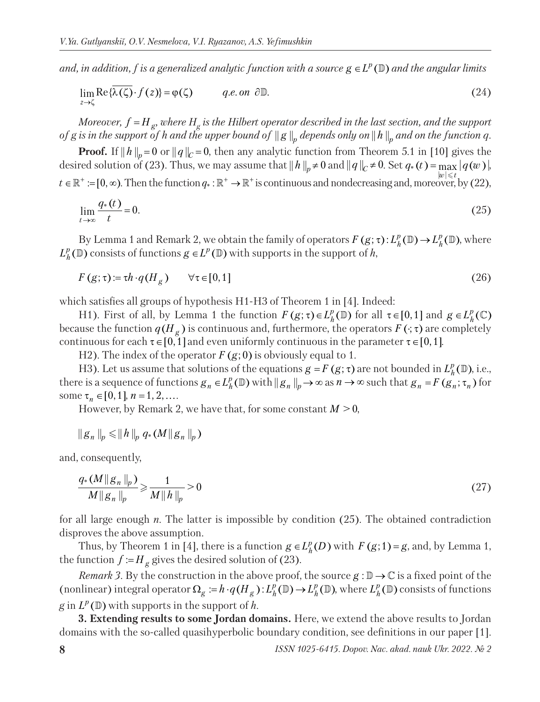*and, in addition, f is a generalized analytic function with a source*  $g \in L^p(\mathbb{D})$  *and the angular limits* 

$$
\lim_{z \to \zeta} \text{Re}\{\overline{\lambda(\zeta)} \cdot f(z)\} = \varphi(\zeta) \qquad \qquad q.e. \text{ on } \partial \mathbb{D}. \tag{24}
$$

*Moreover,*  $f = H_g$ *, where*  $H_g$  *is the Hilbert operator described in the last section, and the support of g is in the support of h and the upper bound of*  $\|g\|_p$  depends only on  $\|h\|_p$  and on the function q.

**Proof.** If  $||h||_p = 0$  or  $||q||_c = 0$ , then any analytic function from Theorem 5.1 in [10] gives the desired solution of (23). Thus, we may assume that  $||h||_p \neq 0$  and  $||q||_c \neq 0$ . Set  $q_*(t) = \max_{|w| \leq t} |q(w)|$ ,  $t \in \mathbb{R}^+ := [0, \infty)$ . Then the function  $q_* : \mathbb{R}^+ \to \mathbb{R}^+$  is continuous and nondecreasing and, moreover, by (22),

$$
\lim_{t \to \infty} \frac{q_*(t)}{t} = 0. \tag{25}
$$

By Lemma 1 and Remark 2, we obtain the family of operators  $F(g; \tau)$ :  $L_h^p(\mathbb{D}) \to L_h^p(\mathbb{D})$ , where  $L_h^p(\mathbb{D})$  consists of functions  $g \in L^p(\mathbb{D})$  with supports in the support of *h*,

$$
F(g; \tau) := \tau h \cdot q(H_g) \qquad \forall \tau \in [0, 1]
$$
\n
$$
(26)
$$

which satisfies all groups of hypothesis H1-H3 of Theorem 1 in [4]. Indeed:

H1). First of all, by Lemma 1 the function  $F(g; \tau) \in L_h^p(\mathbb{D})$  for all  $\tau \in [0,1]$  and  $g \in L_h^p(\mathbb{C})$ because the function  $q(H_g)$  is continuous and, furthermore, the operators  $F(\cdot;\tau)$  are completely continuous for each  $\tau \in [0,1]$  and even uniformly continuous in the parameter  $\tau \in [0,1]$ .

H2). The index of the operator  $F(g; 0)$  is obviously equal to 1.

H3). Let us assume that solutions of the equations  $g = F(g; \tau)$  are not bounded in  $L_h^p(\mathbb{D})$ , i.e., there is a sequence of functions  $g_n \in L_h^p(\mathbb{D})$  with  $||g_n||_p \to \infty$  as  $n \to \infty$  such that  $g_n = F(g_n; \tau_n)$  for some  $\tau_n \in [0,1]$ ,  $n = 1, 2, \ldots$ 

However, by Remark 2, we have that, for some constant  $M > 0$ ,

$$
||g_n||_p \le ||h||_p q_*(M||g_n||_p)
$$

and, consequently,

$$
\frac{q_*(M||g_n||_p)}{M||g_n||_p} \ge \frac{1}{M||h||_p} > 0
$$
\n(27)

for all large enough *n*. The latter is impossible by condition (25). The obtained contradiction disproves the above assumption.

Thus, by Theorem 1 in [4], there is a function  $g \in L_h^p(D)$  with  $F(g;1) = g$ , and, by Lemma 1, the function  $f := H_g$  gives the desired solution of (23).

*Remark 3.* By the construction in the above proof, the source  $g : \mathbb{D} \to \mathbb{C}$  is a fixed point of the (nonlinear) integral operator  $\Omega_g := h \cdot q(H_g)$ :  $L^p_h(\mathbb{D}) \to L^p_h(\mathbb{D})$ , where  $L^p_h(\mathbb{D})$  consists of functions  $g$  in  $L^p(\mathbb{D})$  with supports in the support of *h*.

**3. Extending results to some Jordan domains.** Here, we extend the above results to Jordan domains with the so-called quasihyperbolic boundary condition, see definitions in our paper [1].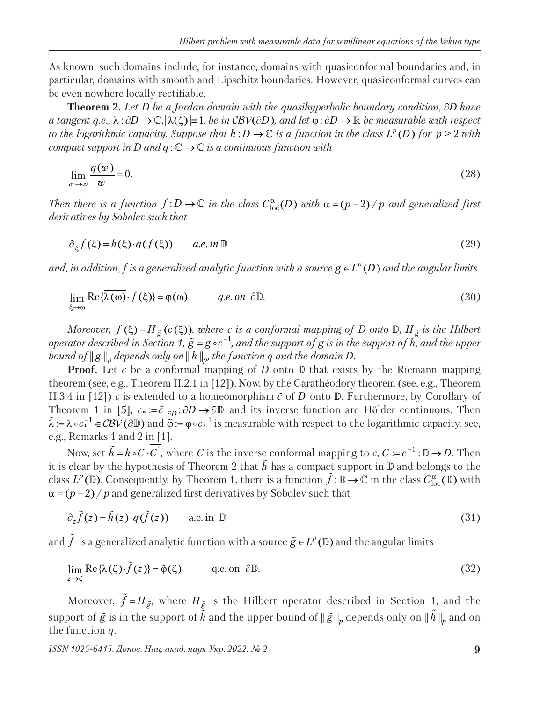As known, such domains include, for instance, domains with quasiconformal boundaries and, in particular, domains with smooth and Lipschitz boundaries. However, quasiconformal curves can be even nowhere locally rectifiable.

**Theorem 2.** *Let D be a Jordan domain with the quasihyperbolic boundary condition, D have a tangent q.e.,*  $\lambda : \partial D \to \mathbb{C}, |\lambda(\zeta)| = 1$ , *be in CBV*( $\partial D$ ), and let  $\varphi : \partial D \to \mathbb{R}$  *be measurable with respect to the logarithmic capacity. Suppose that*  $h: D \to \mathbb{C}$  *is a function in the class*  $L^p(D)$  *for*  $p > 2$  *with compact support in D and q* :  $\mathbb{C} \rightarrow \mathbb{C}$  *is a continuous function with* 

$$
\lim_{w \to \infty} \frac{q(w)}{w} = 0. \tag{28}
$$

*Then there is a function*  $f: D \to \mathbb{C}$  *in the class*  $C^{\alpha}_{loc}(D)$  *with*  $\alpha = (p-2)/p$  *and generalized first derivatives by Sobolev such that* 

$$
\partial_{\overline{\xi}} f(\xi) = h(\xi) \cdot q(f(\xi)) \qquad a.e. \text{ in } \mathbb{D} \tag{29}
$$

*and, in addition, f is a generalized analytic function with a source*  $g \in L^p(D)$  *and the angular limits* 

$$
\lim_{\xi \to \omega} \text{Re}\{\overline{\lambda(\omega)} \cdot f(\xi)\} = \varphi(\omega) \qquad \text{q.e. on } \partial \mathbb{D}. \tag{30}
$$

*Moreover,*  $f(\xi) = H_{\tilde{g}}(c(\xi))$ , where c is a conformal mapping of D onto  $\mathbb{D}$ ,  $H_{\tilde{g}}$  is the Hilbert *operator described in Section 1,*  $\tilde{g} = g \circ c^{-1}$ *, and the support of g is in the support of h, and the upper bound of*  $\|g\|_p$  *depends only on*  $\|h\|_p$  *the function q and the domain D.* 

**Proof.** Let  $c$  be a conformal mapping of  $D$  onto  $D$  that exists by the Riemann mapping theorem (see, e.g., Theorem II.2.1 in [12]). Now, by the Carathéodory theorem (see, e.g., Theorem II.3.4 in [12]) *c* is extended to a homeomorphism  $\tilde{c}$  of  $\overline{D}$  onto  $\overline{D}$ . Furthermore, by Corollary of Theorem 1 in [5],  $c_* := \tilde{c}\big|_{\partial D} : \partial D \to \partial \mathbb{D}$  and its inverse function are Hölder continuous. Then  $\tilde{\lambda} := \lambda \circ c_*^{-1} \in \mathcal{CBV}(\partial \mathbb{D})$  and  $\tilde{\varphi} := \varphi \circ c_*^{-1}$  is measurable with respect to the logarithmic capacity, see, e.g., Remarks 1 and 2 in [1].

Now, set  $\tilde{h} = h \circ C \cdot C$ , where *C* is the inverse conformal mapping to *c*,  $C := c^{-1} : \mathbb{D} \to D$ . Then it is clear by the hypothesis of Theorem 2 that  $\tilde{h}$  has a compact support in  $\mathbb D$  and belongs to the class  $L^p(\mathbb{D})$ . Consequently, by Theorem 1, there is a function  $\tilde{f} : \mathbb{D} \to \mathbb{C}$  in the class  $C^{\alpha}_{loc}(\mathbb{D})$  with  $\alpha = (p-2)/p$  and generalized first derivatives by Sobolev such that

$$
\partial_{\bar{z}}\tilde{f}(z) = \tilde{h}(z) \cdot q(\tilde{f}(z)) \qquad \text{a.e. in } \mathbb{D} \tag{31}
$$

and  $\tilde{f}$  is a generalized analytic function with a source  $\tilde{g} \in L^p(\mathbb{D})$  and the angular limits

$$
\lim_{z \to \zeta} \text{Re}\{\overline{\tilde{\lambda}(\zeta)} \cdot \tilde{f}(z)\} = \tilde{\varphi}(\zeta) \qquad \text{q.e. on } \partial \mathbb{D}. \tag{32}
$$

Moreover,  $\tilde{f} = H_{\tilde{g}}$ , where  $H_{\tilde{g}}$  is the Hilbert operator described in Section 1, and the support of  $\tilde{g}$  is in the support of  $\tilde{h}$  and the upper bound of  $\|\tilde{g}\|_p$  depends only on  $\|\tilde{h}\|_p$  and on the function *q*.

*ISSN 1025-6415. Допов. Нац. акад. наук Укр. 2022. № 2* **9**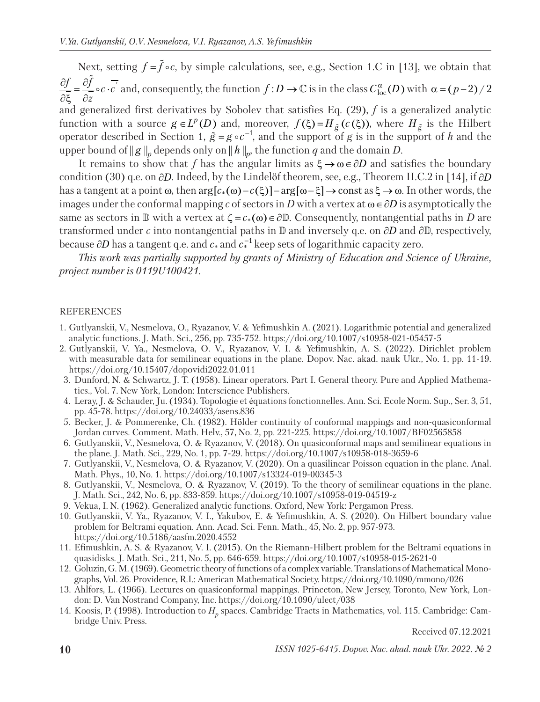Next, setting  $f = \tilde{f} \circ c$ , by simple calculations, see, e.g., Section 1.C in [13], we obtain that  $\frac{f}{\overline{z}} = \frac{\partial f}{\partial z} \circ c \cdot \overline{c}$  $\frac{\partial f}{\partial \overline{\xi}} = \frac{\partial \tilde{f}}{\partial \overline{z}} \circ c$ .  $\circ c \cdot c'$  and, consequently, the function  $f : D \to \mathbb{C}$  is in the class  $C^{\alpha}_{loc}(D)$  with  $\alpha = (p-2)/2$ and generalized first derivatives by Sobolev that satisfies Eq. (29), *f* is a generalized analytic function with a source  $g \in L^p(D)$  and, moreover,  $f(\xi) = H_{\tilde{g}}(c(\xi))$ , where  $H_{\tilde{g}}$  is the Hilbert operator described in Section 1,  $\tilde{g} = g \circ c^{-1}$ , and the support of *g* is in the support of *h* and the upper bound of  $\|g\|_p$  depends only on  $\|h\|_p$ , the function *q* and the domain *D*.

It remains to show that f has the angular limits as  $\xi \rightarrow \omega \in \partial D$  and satisfies the boundary condition (30) q.e. on  $\partial D$ . Indeed, by the Lindelöf theorem, see, e.g., Theorem II.C.2 in [14], if  $\partial D$ has a tangent at a point  $\omega$ , then  $\arg[c_*(\omega) - c(\xi)] - \arg[\omega - \xi] \to \text{const}$  as  $\xi \to \omega$ . In other words, the images under the conformal mapping *c* of sectors in *D* with a vertex at  $\omega \in \partial D$  is asymptotically the same as sectors in  $\mathbb D$  with a vertex at  $\zeta = c_*(\omega) \in \partial \mathbb D$ . Consequently, nontangential paths in *D* are transformed under *c* into nontangential paths in  $\mathbb D$  and inversely q.e. on  $\partial D$  and  $\partial \mathbb D$ , respectively, because  $\partial D$  has a tangent q.e. and  $c_*$  and  $c_*^{-1}$  keep sets of logarithmic capacity zero.

*This work was partially supported by grants of Ministry of Education and Science of Ukraine, project number is 0119U100421.*

## REFERENCES

- 1. Gutlyanskii, V., Nesmelova, O., Ryazanov, V. & Yefimushkin A. (2021). Logarithmic potential and generalized analytic functions. J. Math. Sci., 256, pp. 735-752. https://doi.org/10.1007/s10958-021-05457-5
- 2. Gutlyanskii, V. Ya., Nesmelova, O. V., Ryazanov, V. I. & Yefimushkin, A. S. (2022). Dirichlet problem with measurable data for semilinear equations in the plane. Dopov. Nac. akad. nauk Ukr., No. 1, pp. 11-19. https://doi.org/10.15407/dopovidi2022.01.011
- 3. Dunford, N. & Schwartz, J. T. (1958). Linear operators. Part I. General theory. Pure and Applied Mathematics., Vol. 7. New York, London: Interscience Publishers.
- 4. Leray, J. & Schauder, Ju. (1934). Topologie et équations fonctionnelles. Ann. Sci. Ecole Norm. Sup., Ser. 3, 51, pp. 45-78. https://doi.org/10.24033/asens.836
- 5. Becker, J. & Pommerenke, Ch. (1982). Hölder continuity of conformal mappings and non-quasiconformal Jordan curves. Comment. Math. Helv., 57, No. 2, pp. 221-225. https://doi.org/10.1007/BF02565858
- 6. Gutlyanskii, V., Nesmelova, O. & Ryazanov, V. (2018). On quasiconformal maps and semilinear equations in the plane. J. Math. Sci., 229, No. 1, pp. 7-29. https://doi.org/10.1007/s10958-018-3659-6
- 7. Gutlyanskii, V., Nesmelova, O. & Ryazanov, V. (2020). On a quasilinear Poisson equation in the plane. Anal. Math. Phys., 10, No. 1. https://doi.org/10.1007/s13324-019-00345-3
- 8. Gutlyanskii, V., Nesmelova, O. & Ryazanov, V. (2019). To the theory of semilinear equations in the plane. J. Math. Sci., 242, No. 6, pp. 833-859. https://doi.org/10.1007/s10958-019-04519-z
- 9. Vekua, I. N. (1962). Generalized analytic functions. Oxford, New York: Pergamon Press.
- 10. Gutlyanskii, V. Ya., Ryazanov, V. I., Yakubov, E. & Yefimushkin, A. S. (2020). On Hilbert boundary value problem for Beltrami equation. Ann. Acad. Sci. Fenn. Math., 45, No. 2, pp. 957-973. https://doi.org/10.5186/aasfm.2020.4552
- 11. Efimushkin, A. S. & Ryazanov, V. I. (2015). On the Riemann-Hilbert problem for the Beltrami equations in quasidisks. J. Math. Sci., 211, No. 5, pp. 646-659. https://doi.org/10.1007/s10958-015-2621-0
- 12. Goluzin, G. M. (1969). Geometric theory of functions of a complex variable. Translations of Mathematical Monographs, Vol. 26. Providence, R.I.: American Mathematical Society. https://doi.org/10.1090/mmono/026
- 13. Ahlfors, L. (1966). Lectures on quasiconformal mappings. Princeton, New Jersey, Toronto, New York, London: D. Van Nostrand Company, Inc. https://doi.org/10.1090/ulect/038
- 14. Koosis, P. (1998). Introduction to *H<sub>p</sub>* spaces. Cambridge Tracts in Mathematics, vol. 115. Cambridge: Cambridge Univ. Press.

Received 07.12.2021